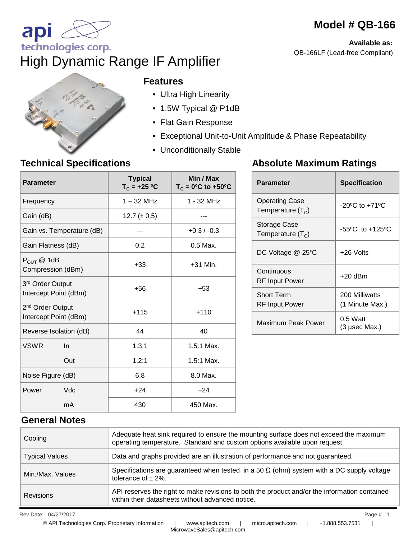# **Model # QB-166**

**Available as:**  QB-166LF (Lead-free Compliant)



technologies corp.

api

#### **Features**

High Dynamic Range IF Amplifier

- Ultra High Linearity
- 1.5W Typical @ P1dB
- Flat Gain Response
- Exceptional Unit-to-Unit Amplitude & Phase Repeatability
- Unconditionally Stable

### **Technical Specifications**

| <b>Parameter</b>                                      | <b>Typical</b><br>$T_c = +25 °C$ | Min / Max<br>$T_c = 0$ <sup>o</sup> C to +50 <sup>o</sup> C |  |
|-------------------------------------------------------|----------------------------------|-------------------------------------------------------------|--|
| Frequency                                             | $1 - 32$ MHz                     | 1 - 32 MHz                                                  |  |
| Gain (dB)                                             | 12.7 $(\pm 0.5)$                 |                                                             |  |
| Gain vs. Temperature (dB)                             |                                  | $+0.3/ -0.3$                                                |  |
| Gain Flatness (dB)                                    | 0.2                              | 0.5 Max.                                                    |  |
| $P_{OUT}$ @ 1dB<br>Compression (dBm)                  | $+33$                            | $+31$ Min.                                                  |  |
| 3rd Order Output<br>Intercept Point (dBm)             | +56                              | $+53$                                                       |  |
| 2 <sup>nd</sup> Order Output<br>Intercept Point (dBm) | $+115$                           | $+110$                                                      |  |
| Reverse Isolation (dB)                                | 44                               | 40                                                          |  |
| <b>VSWR</b><br>$\ln$                                  | 1.3:1                            | 1.5:1 Max.                                                  |  |
| Out                                                   | 1.2:1                            | 1.5:1 Max.                                                  |  |
| Noise Figure (dB)                                     | 6.8                              | 8.0 Max.                                                    |  |
| Vdc<br>Power                                          | $+24$                            | $+24$                                                       |  |
| mA                                                    | 430                              | 450 Max.                                                    |  |

### **Absolute Maximum Ratings**

| <b>Parameter</b>                      | <b>Specification</b>               |
|---------------------------------------|------------------------------------|
| Operating Case<br>Temperature $(T_c)$ | $-20^{\circ}$ C to $+71^{\circ}$ C |
| Storage Case<br>Temperature $(T_c)$   | -55°C to +125°C                    |
| DC Voltage @ 25°C                     | +26 Volts                          |
| Continuous<br>RF Input Power          | $+20$ dBm                          |
| <b>Short Term</b><br>RF Input Power   | 200 Milliwatts<br>(1 Minute Max.)  |
| Maximum Peak Power                    | $0.5$ Watt<br>(3 µsec Max.)        |

### **General Notes**

| Cooling               | Adequate heat sink required to ensure the mounting surface does not exceed the maximum<br>operating temperature. Standard and custom options available upon request. |
|-----------------------|----------------------------------------------------------------------------------------------------------------------------------------------------------------------|
| <b>Typical Values</b> | Data and graphs provided are an illustration of performance and not guaranteed.                                                                                      |
| Min./Max. Values      | Specifications are guaranteed when tested in a 50 $\Omega$ (ohm) system with a DC supply voltage<br>tolerance of $\pm$ 2%.                                           |
| <b>Revisions</b>      | API reserves the right to make revisions to both the product and/or the information contained<br>within their datasheets without advanced notice.                    |

Rev Date: 04/27/2017 Page # 1 04/27/2017 1

MicrowaveSales@apitech.com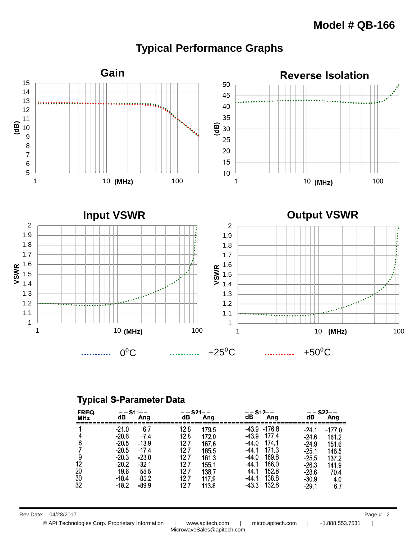

## **Typical Performance Graphs**

#### **Typical S-Parameter Data**

| FREQ.<br>MHz         | –– S11– –<br>dB                                                                             | Ang                                                                                  | –– S21– –<br>dB                                                    | Ang                                                                          | –– S12– –<br>dB<br>Ang                                                                                                                                       | dB                                                                                          | —— S22——<br>Ang                                                              |
|----------------------|---------------------------------------------------------------------------------------------|--------------------------------------------------------------------------------------|--------------------------------------------------------------------|------------------------------------------------------------------------------|--------------------------------------------------------------------------------------------------------------------------------------------------------------|---------------------------------------------------------------------------------------------|------------------------------------------------------------------------------|
| 12<br>20<br>30<br>32 | $-21.0$<br>-20.6<br>$-20.5$<br>$-20.5$<br>$-20.3$<br>$-20.2$<br>-19.6<br>$-18.4$<br>$-18.2$ | 6.7<br>$-7.4$<br>$-13.9$<br>$-17.4$<br>$-23.0$<br>-32.1<br>$-55.5$<br>-85.2<br>-89.9 | 128<br>128<br>12.7<br>12.7<br>12.7<br>12.7<br>12.7<br>12.7<br>12.7 | 179.5<br>172.0<br>167.6<br>165.5<br>161.3<br>155.1<br>1387<br>117.9<br>113.8 | 43.9 - 176.8<br>177.4<br>-43.9<br>174.1<br>-44.0<br>171.3<br>-44.1<br>169.8<br>-44.0<br>166.0<br>-44.1<br>152.8<br>-44.1<br>138.8<br>-44.1<br>132.6<br>-43.3 | $-24.1$<br>-24.6<br>$-24.9$<br>$-25.1$<br>$-25.5$<br>$-26.3$<br>$-28.6$<br>$-30.9$<br>-29.1 | $-177.0$<br>161.2<br>151.6<br>146.5<br>137.2<br>141.9<br>70.4<br>4.0<br>-6.7 |

Rev Date: 04/28/2017 Page # 2

© API Technologies Corp. Proprietary Information | www.apitech.com | micro.apitech.com | +1.888.553.7531 |

MicrowaveSales@apitech.com